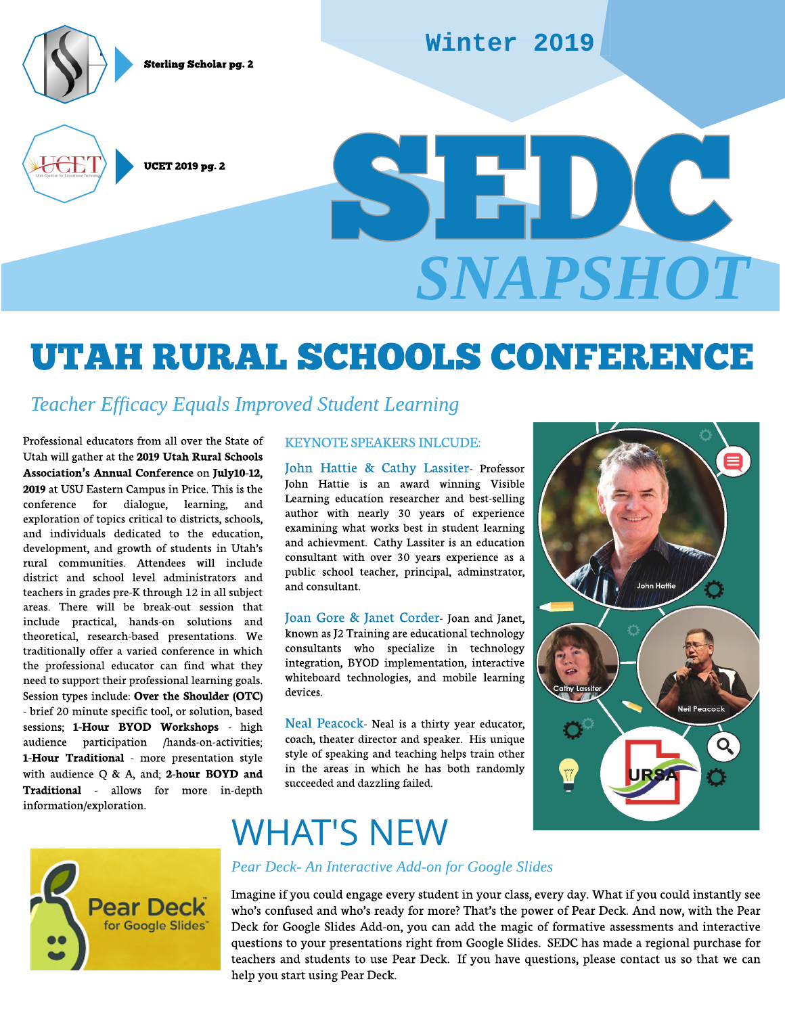Sterling Scholar pg. 2



#### Winter 2019

UCET 2019 pg. 2 SEPTEMBER 1999. 2 **SNAPSHOT**

# UTA H RURAL SCHOOLS CONFERENCE

#### **Teacher Efficacy Equals Improved Student Learning**

Professional educators from all over the State of Utah will gather at the 2019 Utah Rural Schools Association's Annual Conference on July10-12, 2019 at USU Eastern Campus in Price. This is the conference for dialogue, learning, and exploration of topics critical to districts, schools, and individuals dedicated to the education, development, and growth of students in Utah?s rural communities. Attendees will include district and school level administrators and teachers in grades pre-K through 12 in all subject areas. There will be break-out session that include practical, hands-on solutions and theoretical, research-based presentations. We traditionally offer a varied conference in which the professional educator can find what they need to support their professional learning goals. Session types include: Over the Shoulder (OTC) - brief 20 minute specific tool, or solution, based sessions; 1-Hour BYOD Workshops - high audience participation /hands-on-activities; 1-Hour Traditional - more presentation style with audience  $Q \& A$ , and; 2-hour BOYD and Traditional - allows for more in-depth information/exploration.

#### **KEYNOTESPEAKERSINLCUDE:**

John Hattie & Cathy Lassiter- Professor John Hattie is an award winning Visible Learning education researcher and best-selling author with nearly 30 years of experience examining what works best in student learning and achievment. Cathy Lassiter is an education consultant with over 30 years experience as a public school teacher, principal, adminstrator, and consultant.

Joan Gore & Janet Corder- Joan and Janet, known as J2 Training are educational technology consultants who specialize in technology integration, BYOD implementation, interactive whiteboard technologies, and mobile learning devices.

Neal Peacock- Neal is a thirty year educator, coach, theater director and speaker. His unique style of speaking and teaching helps train other in the areas in which he has both randomly succeeded and dazzling failed.

# **John Hatti** Neil Peacock



### **WHAT'S NEW**

#### **Pear Deck-An Interactive Add-on for Google Slides**

Imagine if you could engage every student in your class, every day. What if you could instantly see who's confused and who's ready for more? That's the power of Pear Deck. And now, with the Pear Deck for Google Slides Add-on, you can add the magic of formative assessments and interactive questions to your presentations right from Google Slides. SEDC has made a regional purchase for teachers and students to use Pear Deck. If you have questions, please contact us so that we can help you start using Pear Deck.